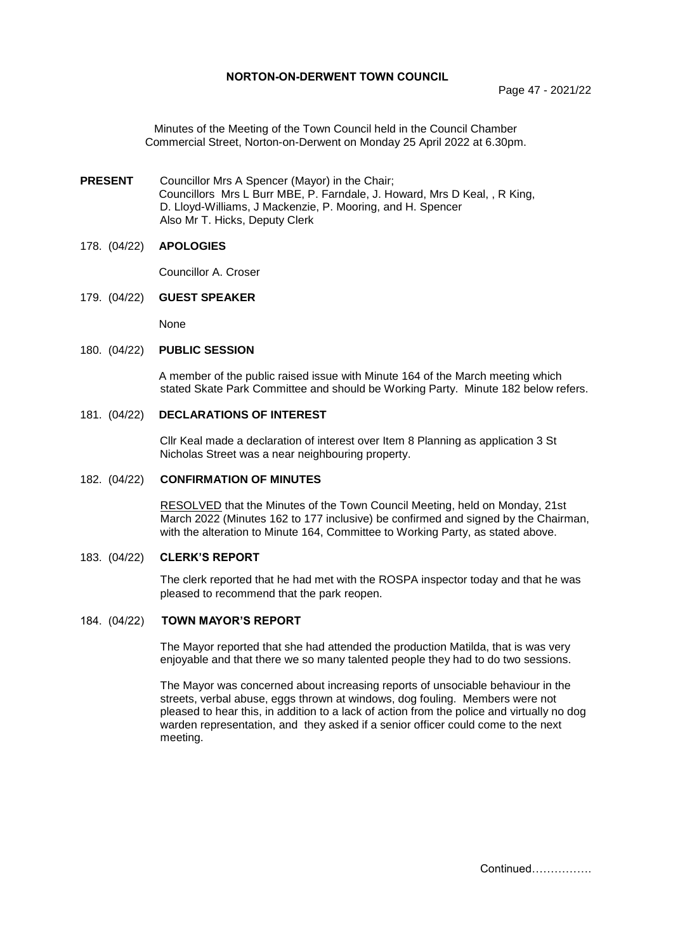Page 47 - 2021/22

Minutes of the Meeting of the Town Council held in the Council Chamber Commercial Street, Norton-on-Derwent on Monday 25 April 2022 at 6.30pm.

**PRESENT** Councillor Mrs A Spencer (Mayor) in the Chair; Councillors Mrs L Burr MBE, P. Farndale, J. Howard, Mrs D Keal, , R King, D. Lloyd-Williams, J Mackenzie, P. Mooring, and H. Spencer Also Mr T. Hicks, Deputy Clerk

## 178. (04/22) **APOLOGIES**

Councillor A. Croser

179. (04/22) **GUEST SPEAKER**

None

#### 180. (04/22) **PUBLIC SESSION**

A member of the public raised issue with Minute 164 of the March meeting which stated Skate Park Committee and should be Working Party. Minute 182 below refers.

## 181. (04/22) **DECLARATIONS OF INTEREST**

Cllr Keal made a declaration of interest over Item 8 Planning as application 3 St Nicholas Street was a near neighbouring property.

## 182. (04/22) **CONFIRMATION OF MINUTES**

 RESOLVED that the Minutes of the Town Council Meeting, held on Monday, 21st March 2022 (Minutes 162 to 177 inclusive) be confirmed and signed by the Chairman, with the alteration to Minute 164, Committee to Working Party, as stated above.

#### 183. (04/22) **CLERK'S REPORT**

The clerk reported that he had met with the ROSPA inspector today and that he was pleased to recommend that the park reopen.

#### 184. (04/22) **TOWN MAYOR'S REPORT**

The Mayor reported that she had attended the production Matilda, that is was very enjoyable and that there we so many talented people they had to do two sessions.

The Mayor was concerned about increasing reports of unsociable behaviour in the streets, verbal abuse, eggs thrown at windows, dog fouling. Members were not pleased to hear this, in addition to a lack of action from the police and virtually no dog warden representation, and they asked if a senior officer could come to the next meeting.

Continued…………….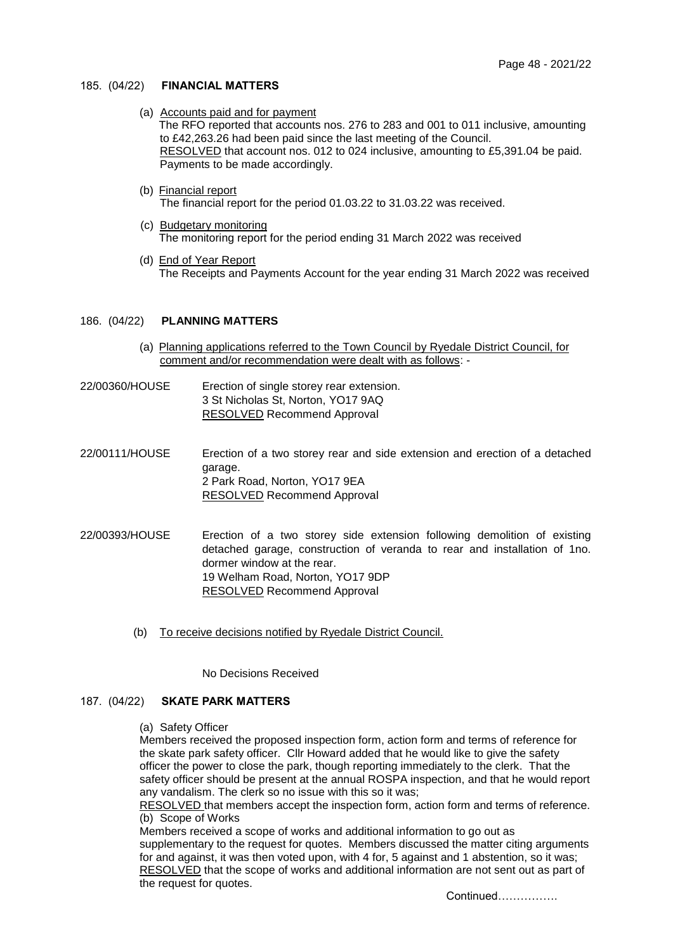## 185. (04/22) **FINANCIAL MATTERS**

(a) Accounts paid and for payment

The RFO reported that accounts nos. 276 to 283 and 001 to 011 inclusive, amounting to £42,263.26 had been paid since the last meeting of the Council. RESOLVED that account nos. 012 to 024 inclusive, amounting to £5,391.04 be paid. Payments to be made accordingly.

(b) Financial report

The financial report for the period 01.03.22 to 31.03.22 was received.

- (c) Budgetary monitoring The monitoring report for the period ending 31 March 2022 was received
- (d) End of Year Report The Receipts and Payments Account for the year ending 31 March 2022 was received

## 186. (04/22) **PLANNING MATTERS**

- (a) Planning applications referred to the Town Council by Ryedale District Council, for comment and/or recommendation were dealt with as follows: -
- 22/00360/HOUSE Erection of single storey rear extension. 3 St Nicholas St, Norton, YO17 9AQ RESOLVED Recommend Approval
- 22/00111/HOUSE Erection of a two storey rear and side extension and erection of a detached garage. 2 Park Road, Norton, YO17 9EA RESOLVED Recommend Approval
- 22/00393/HOUSE [Erection of a two storey side extension following demolition of existing](https://planningregister.ryedale.gov.uk/caonline-applications/applicationDetails.do?activeTab=summary&keyVal=R9GG1HNOMTX00&prevPage=inTray)  [detached garage, construction of veranda to rear and installation of 1no.](https://planningregister.ryedale.gov.uk/caonline-applications/applicationDetails.do?activeTab=summary&keyVal=R9GG1HNOMTX00&prevPage=inTray)  [dormer window at the rear.](https://planningregister.ryedale.gov.uk/caonline-applications/applicationDetails.do?activeTab=summary&keyVal=R9GG1HNOMTX00&prevPage=inTray)  19 Welham Road, Norton, YO17 9DP RESOLVED Recommend Approval
	- (b) To receive decisions notified by Ryedale District Council.

No Decisions Received

## 187. (04/22) **SKATE PARK MATTERS**

(a) Safety Officer

Members received the proposed inspection form, action form and terms of reference for the skate park safety officer. Cllr Howard added that he would like to give the safety officer the power to close the park, though reporting immediately to the clerk. That the safety officer should be present at the annual ROSPA inspection, and that he would report any vandalism. The clerk so no issue with this so it was;

RESOLVED that members accept the inspection form, action form and terms of reference. (b) Scope of Works

Members received a scope of works and additional information to go out as supplementary to the request for quotes. Members discussed the matter citing arguments for and against, it was then voted upon, with 4 for, 5 against and 1 abstention, so it was; RESOLVED that the scope of works and additional information are not sent out as part of the request for quotes.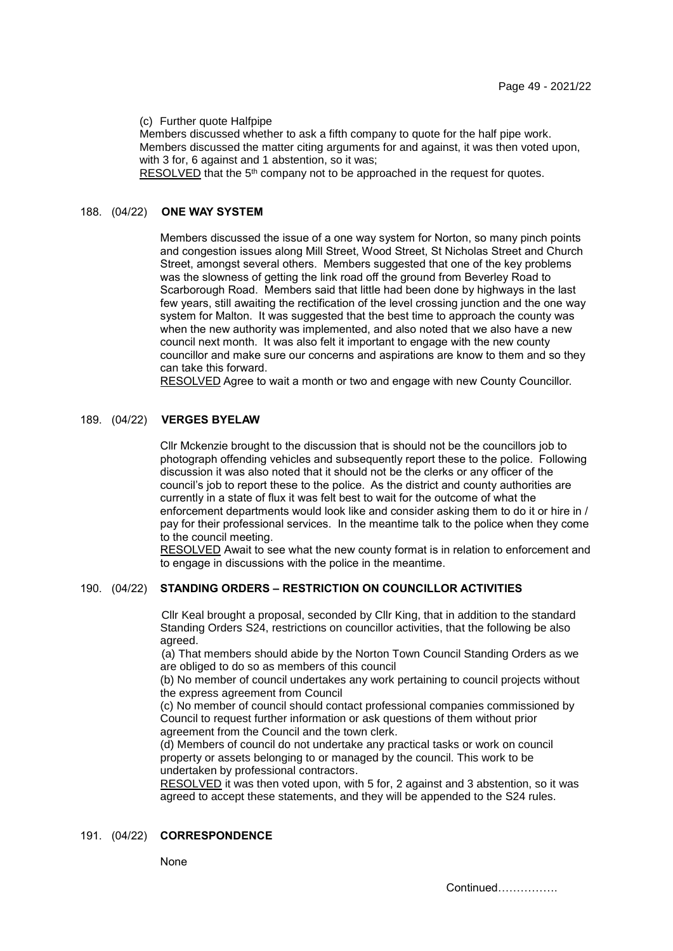(c) Further quote Halfpipe

Members discussed whether to ask a fifth company to quote for the half pipe work. Members discussed the matter citing arguments for and against, it was then voted upon, with 3 for, 6 against and 1 abstention, so it was;

RESOLVED that the 5<sup>th</sup> company not to be approached in the request for quotes.

#### 188. (04/22) **ONE WAY SYSTEM**

Members discussed the issue of a one way system for Norton, so many pinch points and congestion issues along Mill Street, Wood Street, St Nicholas Street and Church Street, amongst several others. Members suggested that one of the key problems was the slowness of getting the link road off the ground from Beverley Road to Scarborough Road. Members said that little had been done by highways in the last few years, still awaiting the rectification of the level crossing junction and the one way system for Malton. It was suggested that the best time to approach the county was when the new authority was implemented, and also noted that we also have a new council next month. It was also felt it important to engage with the new county councillor and make sure our concerns and aspirations are know to them and so they can take this forward.

RESOLVED Agree to wait a month or two and engage with new County Councillor.

## 189. (04/22) **VERGES BYELAW**

Cllr Mckenzie brought to the discussion that is should not be the councillors job to photograph offending vehicles and subsequently report these to the police. Following discussion it was also noted that it should not be the clerks or any officer of the council's job to report these to the police. As the district and county authorities are currently in a state of flux it was felt best to wait for the outcome of what the enforcement departments would look like and consider asking them to do it or hire in / pay for their professional services. In the meantime talk to the police when they come to the council meeting.

RESOLVED Await to see what the new county format is in relation to enforcement and to engage in discussions with the police in the meantime.

# 190. (04/22) **STANDING ORDERS – RESTRICTION ON COUNCILLOR ACTIVITIES**

Cllr Keal brought a proposal, seconded by Cllr King, that in addition to the standard Standing Orders S24, restrictions on councillor activities, that the following be also agreed.

(a) That members should abide by the Norton Town Council Standing Orders as we are obliged to do so as members of this council

(b) No member of council undertakes any work pertaining to council projects without the express agreement from Council

(c) No member of council should contact professional companies commissioned by Council to request further information or ask questions of them without prior agreement from the Council and the town clerk.

(d) Members of council do not undertake any practical tasks or work on council property or assets belonging to or managed by the council. This work to be undertaken by professional contractors.

RESOLVED it was then voted upon, with 5 for, 2 against and 3 abstention, so it was agreed to accept these statements, and they will be appended to the S24 rules.

## 191. (04/22) **CORRESPONDENCE**

#### None

Continued…………….